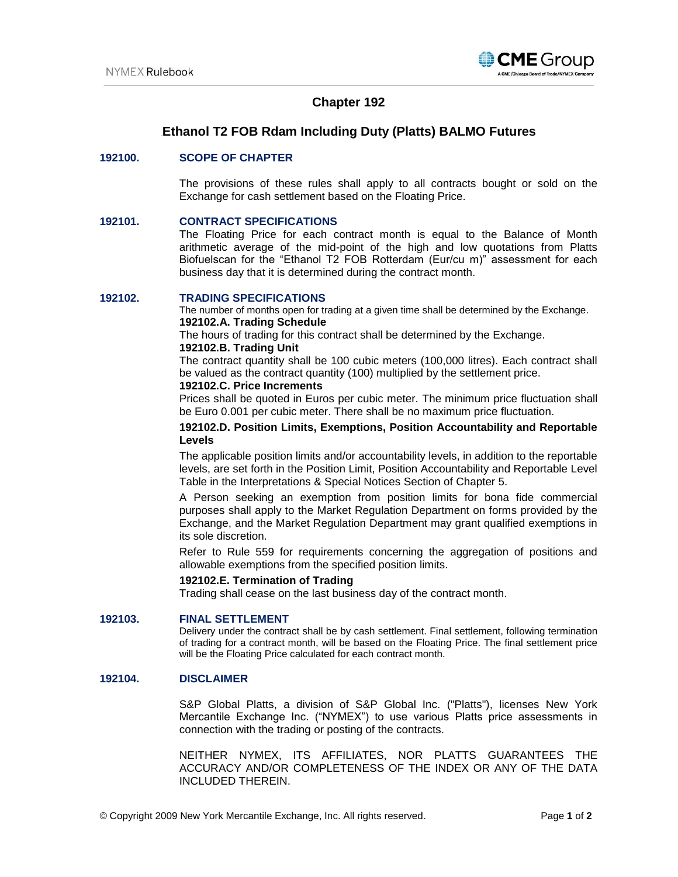

# **Chapter 192**

# 1B**Ethanol T2 FOB Rdam Including Duty (Platts) BALMO Futures**

## **192100. SCOPE OF CHAPTER**

The provisions of these rules shall apply to all contracts bought or sold on the Exchange for cash settlement based on the Floating Price.

# **192101. CONTRACT SPECIFICATIONS**

The Floating Price for each contract month is equal to the Balance of Month arithmetic average of the mid-point of the high and low quotations from Platts Biofuelscan for the "Ethanol T2 FOB Rotterdam (Eur/cu m)" assessment for each business day that it is determined during the contract month.

#### **192102. TRADING SPECIFICATIONS**

The number of months open for trading at a given time shall be determined by the Exchange. **192102.A. Trading Schedule**

The hours of trading for this contract shall be determined by the Exchange.

#### **192102.B. Trading Unit**

The contract quantity shall be 100 cubic meters (100,000 litres). Each contract shall be valued as the contract quantity (100) multiplied by the settlement price.

# **192102.C. Price Increments**

Prices shall be quoted in Euros per cubic meter. The minimum price fluctuation shall be Euro 0.001 per cubic meter. There shall be no maximum price fluctuation.

### **192102.D. Position Limits, Exemptions, Position Accountability and Reportable Levels**

The applicable position limits and/or accountability levels, in addition to the reportable levels, are set forth in the Position Limit, Position Accountability and Reportable Level Table in the Interpretations & Special Notices Section of Chapter 5.

A Person seeking an exemption from position limits for bona fide commercial purposes shall apply to the Market Regulation Department on forms provided by the Exchange, and the Market Regulation Department may grant qualified exemptions in its sole discretion.

Refer to Rule 559 for requirements concerning the aggregation of positions and allowable exemptions from the specified position limits.

#### **192102.E. Termination of Trading**

Trading shall cease on the last business day of the contract month.

#### **192103. FINAL SETTLEMENT**

Delivery under the contract shall be by cash settlement. Final settlement, following termination of trading for a contract month, will be based on the Floating Price. The final settlement price will be the Floating Price calculated for each contract month.

## **192104. DISCLAIMER**

S&P Global Platts, a division of S&P Global Inc. ("Platts"), licenses New York Mercantile Exchange Inc. ("NYMEX") to use various Platts price assessments in connection with the trading or posting of the contracts.

NEITHER NYMEX, ITS AFFILIATES, NOR PLATTS GUARANTEES THE ACCURACY AND/OR COMPLETENESS OF THE INDEX OR ANY OF THE DATA INCLUDED THEREIN.